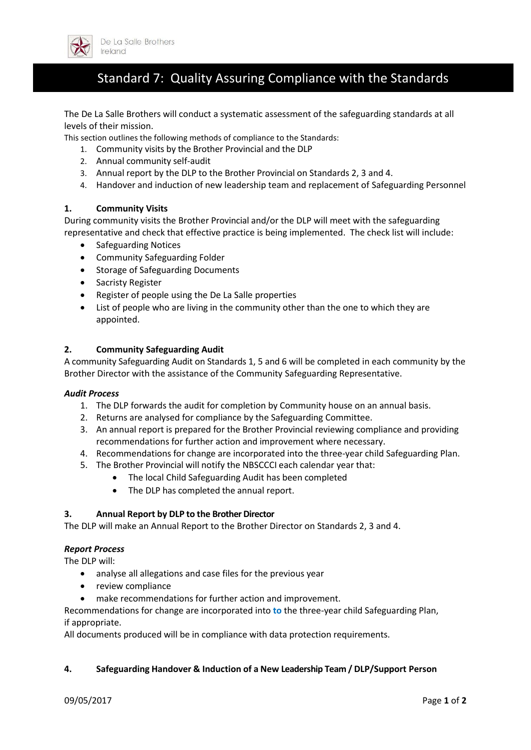

# Standard 7: Quality Assuring Compliance with the Standards

The De La Salle Brothers will conduct a systematic assessment of the safeguarding standards at all levels of their mission.

This section outlines the following methods of compliance to the Standards:

- 1. Community visits by the Brother Provincial and the DLP
- 2. Annual community self-audit
- 3. Annual report by the DLP to the Brother Provincial on Standards 2, 3 and 4.
- 4. Handover and induction of new leadership team and replacement of Safeguarding Personnel

#### **1. Community Visits**

During community visits the Brother Provincial and/or the DLP will meet with the safeguarding representative and check that effective practice is being implemented. The check list will include:

- Safeguarding Notices
- Community Safeguarding Folder
- Storage of Safeguarding Documents
- Sacristy Register
- Register of people using the De La Salle properties
- List of people who are living in the community other than the one to which they are appointed.

#### **2. Community Safeguarding Audit**

A community Safeguarding Audit on Standards 1, 5 and 6 will be completed in each community by the Brother Director with the assistance of the Community Safeguarding Representative.

#### *Audit Process*

- 1. The DLP forwards the audit for completion by Community house on an annual basis.
- 2. Returns are analysed for compliance by the Safeguarding Committee.
- 3. An annual report is prepared for the Brother Provincial reviewing compliance and providing recommendations for further action and improvement where necessary.
- 4. Recommendations for change are incorporated into the three-year child Safeguarding Plan.
- 5. The Brother Provincial will notify the NBSCCCI each calendar year that:
	- The local Child Safeguarding Audit has been completed
	- The DLP has completed the annual report.

#### **3. Annual Report by DLP to the Brother Director**

The DLP will make an Annual Report to the Brother Director on Standards 2, 3 and 4.

#### *Report Process*

The DLP will:

- analyse all allegations and case files for the previous year
- review compliance
- make recommendations for further action and improvement.

Recommendations for change are incorporated into **to** the three-year child Safeguarding Plan, if appropriate.

All documents produced will be in compliance with data protection requirements.

#### **4. Safeguarding Handover & Induction of a New Leadership Team / DLP/Support Person**